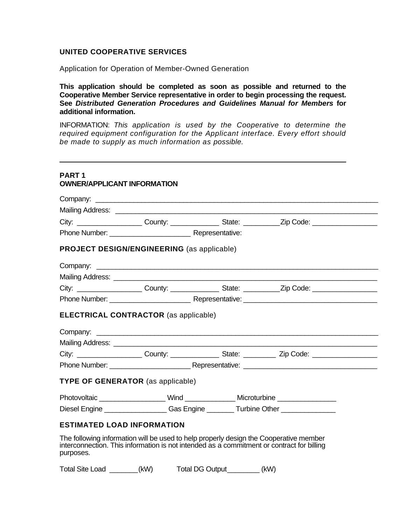#### **UNITED COOPERATIVE SERVICES**

 $\overline{a}$ 

Application for Operation of Member-Owned Generation

**This application should be completed as soon as possible and returned to the Cooperative Member Service representative in order to begin processing the request. See** *Distributed Generation Procedures and Guidelines Manual for Members* **for additional information.** 

INFORMATION: *This application is used by the Cooperative to determine the required equipment configuration for the Applicant interface. Every effort should be made to supply as much information as possible.* 

| City: City: County: County: State: Zip Code:                                                                                                                          |  |
|-----------------------------------------------------------------------------------------------------------------------------------------------------------------------|--|
|                                                                                                                                                                       |  |
| PROJECT DESIGN/ENGINEERING (as applicable)                                                                                                                            |  |
|                                                                                                                                                                       |  |
|                                                                                                                                                                       |  |
| City: _____________________County: _________________State: ___________Zip Code: ___________________                                                                   |  |
|                                                                                                                                                                       |  |
| <b>ELECTRICAL CONTRACTOR</b> (as applicable)                                                                                                                          |  |
|                                                                                                                                                                       |  |
|                                                                                                                                                                       |  |
| City: _____________________County: ___________________State: ______________Zip Code: ____________________                                                             |  |
| <b>TYPE OF GENERATOR</b> (as applicable)                                                                                                                              |  |
|                                                                                                                                                                       |  |
| Photovoltaic ______________________Wind ________________Microturbine ____________<br>Diesel Engine ____________________Gas Engine _________Turbine Other ____________ |  |

Total Site Load \_\_\_\_\_\_\_ (kW) Total DG Output \_\_\_\_\_\_\_\_ (kW)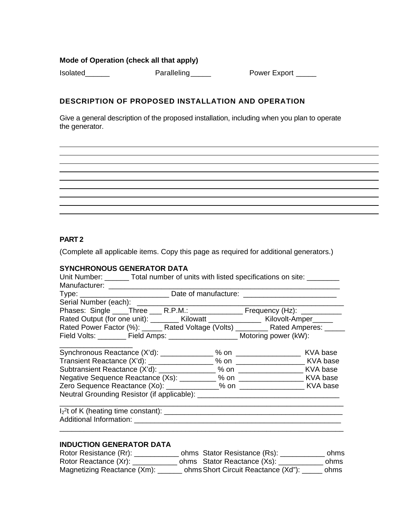## **Mode of Operation (check all that apply)**

Isolated\_\_\_\_\_\_\_ Paralleling \_\_\_\_\_ Power Export \_\_\_\_

## **DESCRIPTION OF PROPOSED INSTALLATION AND OPERATION**

Give a general description of the proposed installation, including when you plan to operate the generator.

### **PART 2**

(Complete all applicable items. Copy this page as required for additional generators.)

#### **SYNCHRONOUS GENERATOR DATA**

| Unit Number: ________ Total number of units with listed specifications on site: ________ |                                                                                    |                                                                                   |  |  |
|------------------------------------------------------------------------------------------|------------------------------------------------------------------------------------|-----------------------------------------------------------------------------------|--|--|
| Manufacturer: ___________________                                                        |                                                                                    |                                                                                   |  |  |
| Type: ________________________________Date of manufacture: _____________________         |                                                                                    |                                                                                   |  |  |
|                                                                                          |                                                                                    |                                                                                   |  |  |
| Phases: Single ____Three ___ R.P.M.: _________________ Frequency (Hz): _________         |                                                                                    |                                                                                   |  |  |
|                                                                                          | Rated Output (for one unit): ________ Kilowatt _______________ Kilovolt-Amper_____ |                                                                                   |  |  |
|                                                                                          |                                                                                    | Rated Power Factor (%): _____ Rated Voltage (Volts) ________ Rated Amperes: _____ |  |  |
| Field Volts: ________ Field Amps: _____________________ Motoring power (kW):             |                                                                                    |                                                                                   |  |  |
|                                                                                          |                                                                                    |                                                                                   |  |  |
|                                                                                          |                                                                                    |                                                                                   |  |  |
|                                                                                          |                                                                                    |                                                                                   |  |  |
| Negative Sequence Reactance (Xs): __________ % on ____________________ KVA base          |                                                                                    |                                                                                   |  |  |
|                                                                                          |                                                                                    |                                                                                   |  |  |
|                                                                                          |                                                                                    |                                                                                   |  |  |
| $1_2$ <sup>2</sup> t of K (heating time constant): $\qquad \qquad$                       |                                                                                    |                                                                                   |  |  |
|                                                                                          |                                                                                    |                                                                                   |  |  |
|                                                                                          |                                                                                    |                                                                                   |  |  |
|                                                                                          |                                                                                    |                                                                                   |  |  |

# **INDUCTION GENERATOR DATA**

| Rotor Resistance (Rr):      | ohms Stator Resistance (Rs):        | ohms |
|-----------------------------|-------------------------------------|------|
| Rotor Reactance (Xr):       | ohms Stator Reactance (Xs):         | ohms |
| Magnetizing Reactance (Xm): | ohms Short Circuit Reactance (Xd"): | ohms |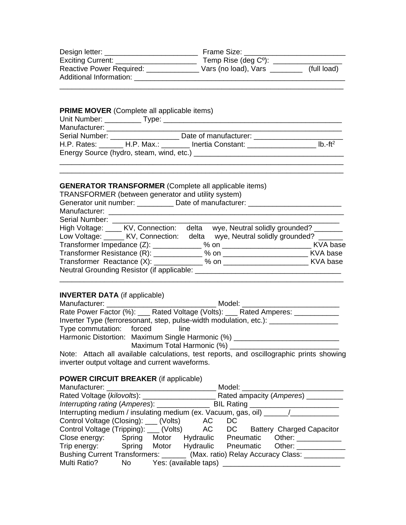| Design letter:                                             | Frame Size:                   |             |
|------------------------------------------------------------|-------------------------------|-------------|
| Exciting Current:                                          | Temp Rise (deg $C^{\circ}$ ): |             |
| <b>Reactive Power Required:</b><br>Additional Information: | Vars (no load), Vars          | (full load) |

\_\_\_\_\_\_\_\_\_\_\_\_\_\_\_\_\_\_\_\_\_\_\_\_\_\_\_\_\_\_\_\_\_\_\_\_\_\_\_\_\_\_\_\_\_\_\_\_\_\_\_\_\_\_\_\_\_\_\_\_\_\_\_\_\_\_\_\_\_\_

| Manufacturer: ______________________ |                                                                                                                                                                                                                               |  |
|--------------------------------------|-------------------------------------------------------------------------------------------------------------------------------------------------------------------------------------------------------------------------------|--|
|                                      | Serial Number: Date of manufacturer: Number 2014                                                                                                                                                                              |  |
|                                      | H.P. Rates: H.P. Max.: Inertia Constant: Internal United                                                                                                                                                                      |  |
|                                      | Energy Source (hydro, steam, wind, etc.) example and the state of the state of the state of the state of the state of the state of the state of the state of the state of the state of the state of the state of the state of |  |

\_\_\_\_\_\_\_\_\_\_\_\_\_\_\_\_\_\_\_\_\_\_\_\_\_\_\_\_\_\_\_\_\_\_\_\_\_\_\_\_\_\_\_\_\_\_\_\_\_\_\_\_\_\_\_\_\_\_\_\_\_\_\_\_\_\_\_\_\_\_

# **GENERATOR TRANSFORMER** (Complete all applicable items)

| TRANSFORMER (between generator and utility system)                              |                                      |
|---------------------------------------------------------------------------------|--------------------------------------|
| Generator unit number: Date of manufacturer: _____________                      |                                      |
|                                                                                 |                                      |
| Serial Number: ______                                                           |                                      |
| High Voltage: _____ KV, Connection:                                             | delta wye, Neutral solidly grounded? |
| Low Voltage: ______ KV, Connection: delta wye, Neutral solidly grounded? ______ |                                      |
|                                                                                 |                                      |
|                                                                                 |                                      |
|                                                                                 |                                      |
| Neutral Grounding Resistor (if applicable: ___                                  |                                      |

## **INVERTER DATA** (if applicable)

| Manufacturer: ________________________           |                            | Model: |                                                                                         |  |
|--------------------------------------------------|----------------------------|--------|-----------------------------------------------------------------------------------------|--|
|                                                  |                            |        | Rate Power Factor (%): ____ Rated Voltage (Volts): ____ Rated Amperes: __________       |  |
|                                                  |                            |        | Inverter Type (ferroresonant, step, pulse-width modulation, etc.):                      |  |
| Type commutation: forced                         | line                       |        |                                                                                         |  |
| Harmonic Distortion: Maximum Single Harmonic (%) |                            |        |                                                                                         |  |
|                                                  | Maximum Total Harmonic (%) |        |                                                                                         |  |
|                                                  |                            |        | Nato: Attach all ovailable eslevistices test reports, and sesillesrephia prints showing |  |

\_\_\_\_\_\_\_\_\_\_\_\_\_\_\_\_\_\_\_\_\_\_\_\_\_\_\_\_\_\_\_\_\_\_\_\_\_\_\_\_\_\_\_\_\_\_\_\_\_\_\_\_\_\_\_\_\_\_\_\_\_\_\_\_\_\_\_\_\_\_

Note: Attach all available calculations, test reports, and oscillographic prints showing inverter output voltage and current waveforms.

# **POWER CIRCUIT BREAKER** (if applicable)

|                                                                                 |  |  |                                     | Model: <b>Model</b> |  |  |
|---------------------------------------------------------------------------------|--|--|-------------------------------------|---------------------|--|--|
|                                                                                 |  |  | Rated ampacity (Amperes) ____       |                     |  |  |
|                                                                                 |  |  |                                     |                     |  |  |
| Interrupting medium / insulating medium (ex. Vacuum, gas, oil) ______/______    |  |  |                                     |                     |  |  |
| Control Voltage (Closing): ___ (Volts) AC                                       |  |  |                                     | DC                  |  |  |
| Control Voltage (Tripping): ___ (Volts) AC DC Battery Charged Capacitor         |  |  |                                     |                     |  |  |
| Close energy: Spring Motor Hydraulic Pneumatic Other:                           |  |  |                                     |                     |  |  |
| Trip energy: Spring Motor Hydraulic Pneumatic Other:                            |  |  |                                     |                     |  |  |
| Bushing Current Transformers: _______ (Max. ratio) Relay Accuracy Class: ______ |  |  |                                     |                     |  |  |
| Multi Ratio?                                                                    |  |  | No Yes: (available taps) __________ |                     |  |  |